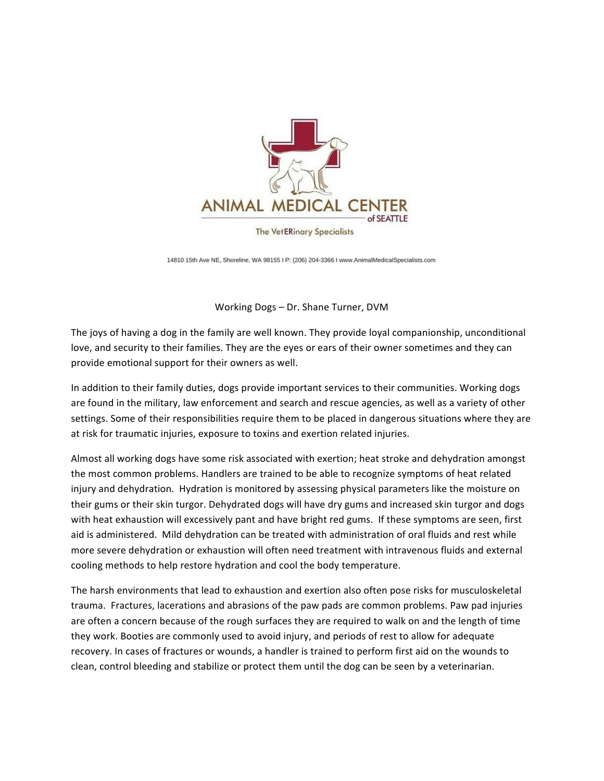

**The VetERinary Specialists** 

14810 15th Ave NE, Shoreline, WA 98155 I P: (206) 204-3366 I www.AnimalMedicalSpecialists.com

Working Dogs - Dr. Shane Turner, DVM

The joys of having a dog in the family are well known. They provide loyal companionship, unconditional love, and security to their families. They are the eyes or ears of their owner sometimes and they can provide emotional support for their owners as well.

In addition to their family duties, dogs provide important services to their communities. Working dogs are found in the military, law enforcement and search and rescue agencies, as well as a variety of other settings. Some of their responsibilities require them to be placed in dangerous situations where they are at risk for traumatic injuries, exposure to toxins and exertion related injuries.

Almost all working dogs have some risk associated with exertion; heat stroke and dehydration amongst the most common problems. Handlers are trained to be able to recognize symptoms of heat related injury and dehydration. Hydration is monitored by assessing physical parameters like the moisture on their gums or their skin turgor. Dehydrated dogs will have dry gums and increased skin turgor and dogs with heat exhaustion will excessively pant and have bright red gums. If these symptoms are seen, first aid is administered. Mild dehydration can be treated with administration of oral fluids and rest while more severe dehydration or exhaustion will often need treatment with intravenous fluids and external cooling methods to help restore hydration and cool the body temperature.

The harsh environments that lead to exhaustion and exertion also often pose risks for musculoskeletal trauma. Fractures, lacerations and abrasions of the paw pads are common problems. Paw pad injuries are often a concern because of the rough surfaces they are required to walk on and the length of time they work. Booties are commonly used to avoid injury, and periods of rest to allow for adequate recovery. In cases of fractures or wounds, a handler is trained to perform first aid on the wounds to clean, control bleeding and stabilize or protect them until the dog can be seen by a veterinarian.